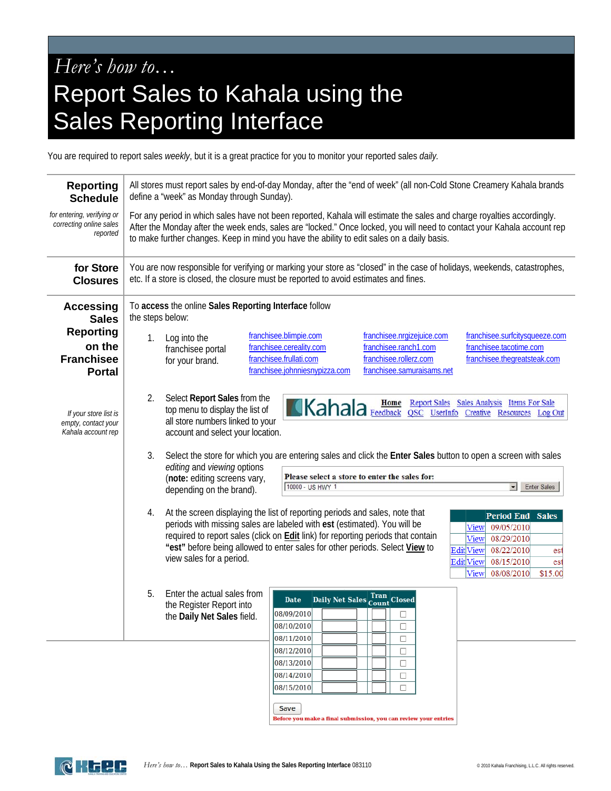## *Here's how to…* Report Sales to Kahala using the Sales Reporting Interface

You are required to report sales *weekly*, but it is a great practice for you to monitor your reported sales *daily.* 

| <b>Reporting</b><br><b>Schedule</b>                                | All stores must report sales by end-of-day Monday, after the "end of week" (all non-Cold Stone Creamery Kahala brands<br>define a "week" as Monday through Sunday).                                                                                                                                                                                                                                                                                                                                                                             |
|--------------------------------------------------------------------|-------------------------------------------------------------------------------------------------------------------------------------------------------------------------------------------------------------------------------------------------------------------------------------------------------------------------------------------------------------------------------------------------------------------------------------------------------------------------------------------------------------------------------------------------|
| for entering, verifying or<br>correcting online sales<br>reported  | For any period in which sales have not been reported, Kahala will estimate the sales and charge royalties accordingly.<br>After the Monday after the week ends, sales are "locked." Once locked, you will need to contact your Kahala account rep<br>to make further changes. Keep in mind you have the ability to edit sales on a daily basis.                                                                                                                                                                                                 |
| for Store<br><b>Closures</b>                                       | You are now responsible for verifying or marking your store as "closed" in the case of holidays, weekends, catastrophes,<br>etc. If a store is closed, the closure must be reported to avoid estimates and fines.                                                                                                                                                                                                                                                                                                                               |
| <b>Accessing</b><br><b>Sales</b>                                   | To access the online Sales Reporting Interface follow<br>the steps below:                                                                                                                                                                                                                                                                                                                                                                                                                                                                       |
| <b>Reporting</b><br>on the<br><b>Franchisee</b><br><b>Portal</b>   | franchisee.blimpie.com<br>franchisee.nrgizejuice.com<br>franchisee.surfcitysqueeze.com<br>Log into the<br>1.<br>franchisee.cereality.com<br>franchisee.ranch1.com<br>franchisee.tacotime.com<br>franchisee portal<br>franchisee.frullati.com<br>franchisee.rollerz.com<br>franchisee.thegreatsteak.com<br>for your brand.<br>franchisee.johnniesnypizza.com<br>franchisee.samuraisams.net                                                                                                                                                       |
| If your store list is<br>empty, contact your<br>Kahala account rep | Select Report Sales from the<br>2.<br>Report Sales Sales Analysis Items For Sale<br>Kahala Feedback QSC UserInfo Creative Resources Log Out<br>top menu to display the list of<br>all store numbers linked to your<br>account and select your location.                                                                                                                                                                                                                                                                                         |
|                                                                    | 3.<br>Select the store for which you are entering sales and click the Enter Sales button to open a screen with sales<br>editing and viewing options<br>Please select a store to enter the sales for:<br>(note: editing screens vary,<br>10000 - US HWY 1<br><b>Enter Sales</b><br>$\overline{\phantom{a}}$<br>depending on the brand).                                                                                                                                                                                                          |
|                                                                    | At the screen displaying the list of reporting periods and sales, note that<br>4.<br><b>Period End Sales</b><br>periods with missing sales are labeled with est (estimated). You will be<br>View<br>09/05/2010<br>required to report sales (click on Edit link) for reporting periods that contain<br>08/29/2010<br>View<br>"est" before being allowed to enter sales for other periods. Select View to<br>Edit View<br>08/22/2010<br>est<br>view sales for a period.<br><b>Edit</b> View<br>08/15/2010<br>est<br>View<br>08/08/2010<br>\$15.00 |
|                                                                    | Enter the actual sales from<br>5.<br>Daily Net Sales Tran Closed<br><b>Date</b><br>the Register Report into<br>08/09/2010<br>□<br>the Daily Net Sales field.<br>08/10/2010<br>□<br>08/11/2010<br>$\Box$                                                                                                                                                                                                                                                                                                                                         |
|                                                                    | 08/12/2010<br>$\Box$<br>08/13/2010<br>$\Box$<br>08/14/2010<br>$\Box$<br>08/15/2010<br>$\Box$                                                                                                                                                                                                                                                                                                                                                                                                                                                    |

Save Before you make a final submission, you can review your entries